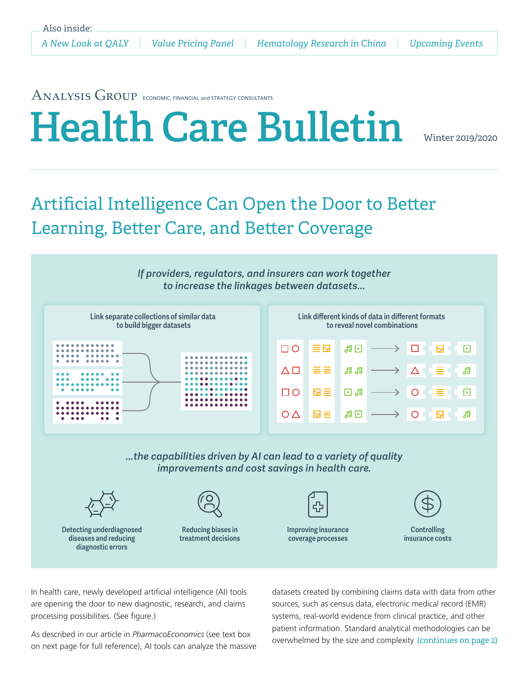# ANALYSIS GROUP ECONOMIC, FINANCIAL and STRATEGY CONSULTANTS Health Care Bulletin

## Artificial Intelligence Can Open the Door to Better Learning, Better Care, and Better Coverage

*If providers, regulators, and insurers can work together to increase the linkages between datasets...*



*...the capabilities driven by AI can lead to a variety of quality improvements and cost savings in health care.*







Reducing biases in treatment decisions



Improving insurance coverage processes



**Controlling** insurance costs

In health care, newly developed artificial intelligence (AI) tools are opening the door to new diagnostic, research, and claims processing possibilities. (See figure.)

As described in our article in *PharmacoEconomics* (see text box on next page for full reference), AI tools can analyze the massive datasets created by combining claims data with data from other sources, such as census data, electronic medical record (EMR) systems, real-world evidence from clinical practice, and other patient information. Standard analytical methodologies can be overwhelmed by the size and complexity (continues on page 2)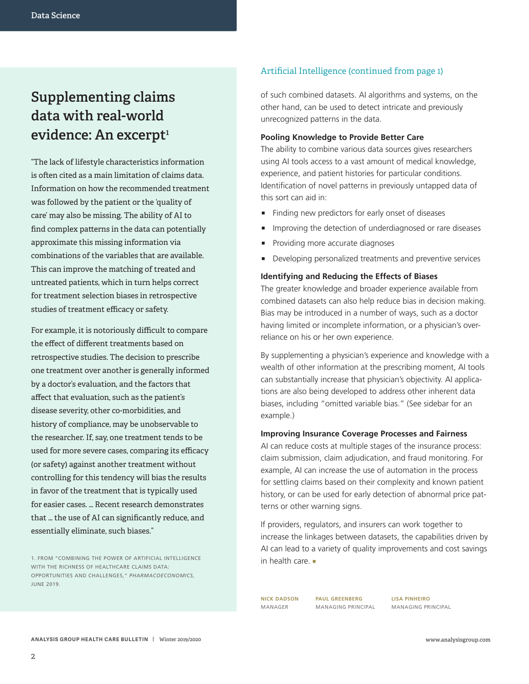## **Supplementing claims data with real-world**  evidence: An excerpt<sup>1</sup>

"The lack of lifestyle characteristics information is often cited as a main limitation of claims data. Information on how the recommended treatment was followed by the patient or the 'quality of care' may also be missing. The ability of AI to find complex patterns in the data can potentially approximate this missing information via combinations of the variables that are available. This can improve the matching of treated and untreated patients, which in turn helps correct for treatment selection biases in retrospective studies of treatment efficacy or safety.

For example, it is notoriously difficult to compare the effect of different treatments based on retrospective studies. The decision to prescribe one treatment over another is generally informed by a doctor's evaluation, and the factors that affect that evaluation, such as the patient's disease severity, other co-morbidities, and history of compliance, may be unobservable to the researcher. If, say, one treatment tends to be used for more severe cases, comparing its efficacy (or safety) against another treatment without controlling for this tendency will bias the results in favor of the treatment that is typically used for easier cases. … Recent research demonstrates that … the use of AI can significantly reduce, and essentially eliminate, such biases."

### Artificial Intelligence (continued from page 1)

of such combined datasets. AI algorithms and systems, on the other hand, can be used to detect intricate and previously unrecognized patterns in the data.

### **Pooling Knowledge to Provide Better Care**

The ability to combine various data sources gives researchers using AI tools access to a vast amount of medical knowledge, experience, and patient histories for particular conditions. Identification of novel patterns in previously untapped data of this sort can aid in:

- Finding new predictors for early onset of diseases
- ɋ Improving the detection of underdiagnosed or rare diseases
- Providing more accurate diagnoses
- Developing personalized treatments and preventive services

### **Identifying and Reducing the Effects of Biases**

The greater knowledge and broader experience available from combined datasets can also help reduce bias in decision making. Bias may be introduced in a number of ways, such as a doctor having limited or incomplete information, or a physician's overreliance on his or her own experience.

By supplementing a physician's experience and knowledge with a wealth of other information at the prescribing moment, AI tools can substantially increase that physician's objectivity. AI applications are also being developed to address other inherent data biases, including "omitted variable bias." (See sidebar for an example.)

### **Improving Insurance Coverage Processes and Fairness**

AI can reduce costs at multiple stages of the insurance process: claim submission, claim adjudication, and fraud monitoring. For example, AI can increase the use of automation in the process for settling claims based on their complexity and known patient history, or can be used for early detection of abnormal price patterns or other warning signs.

If providers, regulators, and insurers can work together to increase the linkages between datasets, the capabilities driven by AI can lead to a variety of quality improvements and cost savings in health care.

**NICK DADSON** MANAGER

**PAUL GREENBERG** MANAGING PRINCIPAL

**LISA PINHEIRO** MANAGING PRINCIPAL

<sup>1.</sup> FROM "COMBINING THE POWER OF ARTIFICIAL INTELLIGENCE WITH THE RICHNESS OF HEALTHCARE CLAIMS DATA: OPPORTUNITIES AND CHALLENGES," *PHARMACOECONOMICS*, JUNE 2019.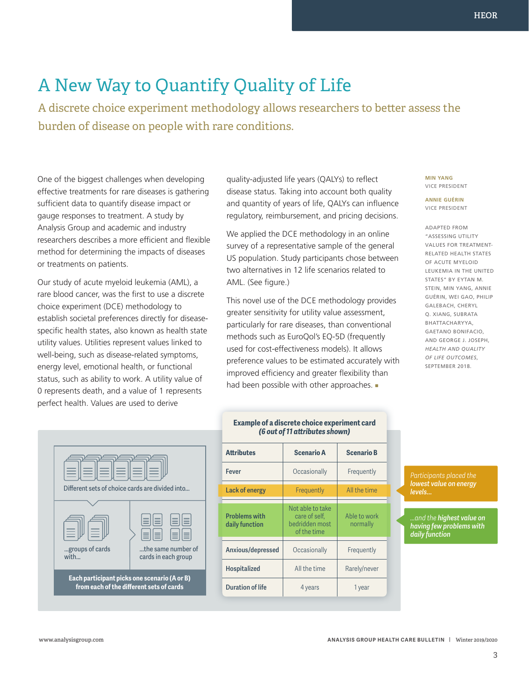## A New Way to Quantify Quality of Life

A discrete choice experiment methodology allows researchers to better assess the burden of disease on people with rare conditions.

One of the biggest challenges when developing effective treatments for rare diseases is gathering sufficient data to quantify disease impact or gauge responses to treatment. A study by Analysis Group and academic and industry researchers describes a more efficient and flexible method for determining the impacts of diseases or treatments on patients.

Our study of acute myeloid leukemia (AML), a rare blood cancer, was the first to use a discrete choice experiment (DCE) methodology to establish societal preferences directly for diseasespecific health states, also known as health state utility values. Utilities represent values linked to well-being, such as disease-related symptoms, energy level, emotional health, or functional status, such as ability to work. A utility value of 0 represents death, and a value of 1 represents perfect health. Values are used to derive

quality-adjusted life years (QALYs) to reflect disease status. Taking into account both quality and quantity of years of life, QALYs can influence regulatory, reimbursement, and pricing decisions.

We applied the DCE methodology in an online survey of a representative sample of the general US population. Study participants chose between two alternatives in 12 life scenarios related to AML. (See figure.)

This novel use of the DCE methodology provides greater sensitivity for utility value assessment, particularly for rare diseases, than conventional methods such as EuroQol's EQ-5D (frequently used for cost-effectiveness models). It allows preference values to be estimated accurately with improved efficiency and greater flexibility than had been possible with other approaches.

#### **MIN YANG** VICE PRESIDENT

**ANNIE GUÉRIN** VICE PRESIDENT

ADAPTED FROM "ASSESSING UTILITY VALUES FOR TREATMENT-RELATED HEALTH STATES OF ACUTE MYELOID LEUKEMIA IN THE UNITED STATES" BY EYTAN M. STEIN, MIN YANG, ANNIE GUÉRIN, WEI GAO, PHILIP GALEBACH, CHERYL Q. XIANG, SUBRATA BHATTACHARYYA, GAETANO BONIFACIO, AND GEORGE J. JOSEPH, *HEALTH AND QUALITY OF LIFE OUTCOMES*, SEPTEMBER 2018.



### **Example of a discrete choice experiment card**  *(6 out of 11 attributes shown)*

| <b>Attributes</b>                      | <b>Scenario A</b>                                                  | <b>Scenario B</b>        |
|----------------------------------------|--------------------------------------------------------------------|--------------------------|
| Fever                                  | Occasionally                                                       | Frequently               |
| Lack of energy                         | Frequently                                                         | All the time             |
| <b>Problems with</b><br>daily function | Not able to take<br>care of self,<br>bedridden most<br>of the time | Able to work<br>normally |
| Anxious/depressed                      | Occasionally                                                       | Frequently               |
| <b>Hospitalized</b>                    | All the time                                                       | Rarely/never             |
| <b>Duration of life</b>                | 4 years                                                            | 1 year                   |

*lowest value on energy levels...*

*...and the highest value on having few problems with daily function*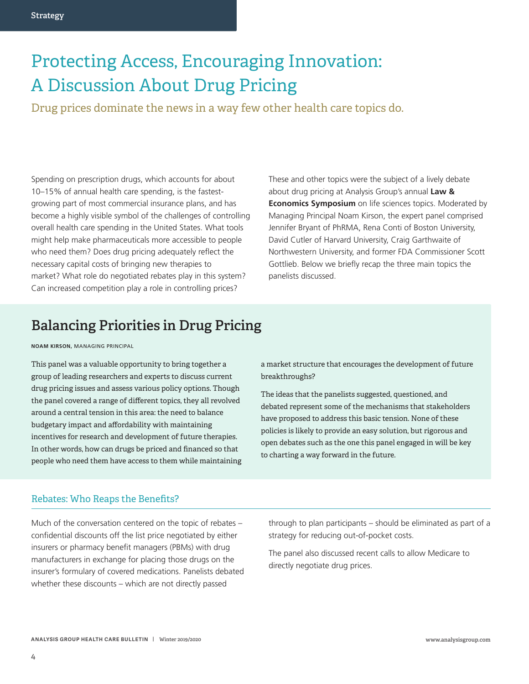## Protecting Access, Encouraging Innovation: A Discussion About Drug Pricing

Drug prices dominate the news in a way few other health care topics do.

Spending on prescription drugs, which accounts for about 10–15% of annual health care spending, is the fastestgrowing part of most commercial insurance plans, and has become a highly visible symbol of the challenges of controlling overall health care spending in the United States. What tools might help make pharmaceuticals more accessible to people who need them? Does drug pricing adequately reflect the necessary capital costs of bringing new therapies to market? What role do negotiated rebates play in this system? Can increased competition play a role in controlling prices?

These and other topics were the subject of a lively debate about drug pricing at Analysis Group's annual **Law & Economics Symposium** on life sciences topics. Moderated by Managing Principal Noam Kirson, the expert panel comprised Jennifer Bryant of PhRMA, Rena Conti of Boston University, David Cutler of Harvard University, Craig Garthwaite of Northwestern University, and former FDA Commissioner Scott Gottlieb. Below we briefly recap the three main topics the panelists discussed.

## **Balancing Priorities in Drug Pricing**

**NOAM KIRSON,** MANAGING PRINCIPAL

This panel was a valuable opportunity to bring together a group of leading researchers and experts to discuss current drug pricing issues and assess various policy options. Though the panel covered a range of different topics, they all revolved around a central tension in this area: the need to balance budgetary impact and affordability with maintaining incentives for research and development of future therapies. In other words, how can drugs be priced and financed so that people who need them have access to them while maintaining a market structure that encourages the development of future breakthroughs?

The ideas that the panelists suggested, questioned, and debated represent some of the mechanisms that stakeholders have proposed to address this basic tension. None of these policies is likely to provide an easy solution, but rigorous and open debates such as the one this panel engaged in will be key to charting a way forward in the future.

### Rebates: Who Reaps the Benefits?

Much of the conversation centered on the topic of rebates – confidential discounts off the list price negotiated by either insurers or pharmacy benefit managers (PBMs) with drug manufacturers in exchange for placing those drugs on the insurer's formulary of covered medications. Panelists debated whether these discounts – which are not directly passed

through to plan participants – should be eliminated as part of a strategy for reducing out-of-pocket costs.

The panel also discussed recent calls to allow Medicare to directly negotiate drug prices.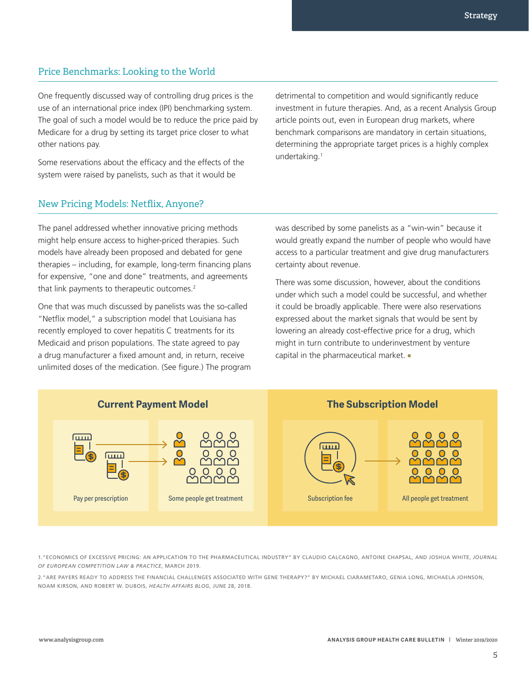## Price Benchmarks: Looking to the World

One frequently discussed way of controlling drug prices is the use of an international price index (IPI) benchmarking system. The goal of such a model would be to reduce the price paid by Medicare for a drug by setting its target price closer to what other nations pay.

Some reservations about the efficacy and the effects of the system were raised by panelists, such as that it would be

detrimental to competition and would significantly reduce investment in future therapies. And, as a recent Analysis Group article points out, even in European drug markets, where benchmark comparisons are mandatory in certain situations, determining the appropriate target prices is a highly complex undertaking.1

### New Pricing Models: Netflix, Anyone?

The panel addressed whether innovative pricing methods might help ensure access to higher-priced therapies. Such models have already been proposed and debated for gene therapies – including, for example, long-term financing plans for expensive, "one and done" treatments, and agreements that link payments to therapeutic outcomes.<sup>2</sup>

One that was much discussed by panelists was the so-called "Netflix model," a subscription model that Louisiana has recently employed to cover hepatitis C treatments for its Medicaid and prison populations. The state agreed to pay a drug manufacturer a fixed amount and, in return, receive unlimited doses of the medication. (See figure.) The program was described by some panelists as a "win-win" because it would greatly expand the number of people who would have access to a particular treatment and give drug manufacturers certainty about revenue.

There was some discussion, however, about the conditions under which such a model could be successful, and whether it could be broadly applicable. There were also reservations expressed about the market signals that would be sent by lowering an already cost-effective price for a drug, which might in turn contribute to underinvestment by venture capital in the pharmaceutical market.



1."ECONOMICS OF EXCESSIVE PRICING: AN APPLICATION TO THE PHARMACEUTICAL INDUSTRY" BY CLAUDIO CALCAGNO, ANTOINE CHAPSAL, AND JOSHUA WHITE, *JOURNAL OF EUROPEAN COMPETITION LAW & PRACTICE*, MARCH 2019.

2."ARE PAYERS READY TO ADDRESS THE FINANCIAL CHALLENGES ASSOCIATED WITH GENE THERAPY?" BY MICHAEL CIARAMETARO, GENIA LONG, MICHAELA JOHNSON, NOAM KIRSON, AND ROBERT W. DUBOIS, *HEALTH AFFAIRS BLOG*, JUNE 28, 2018.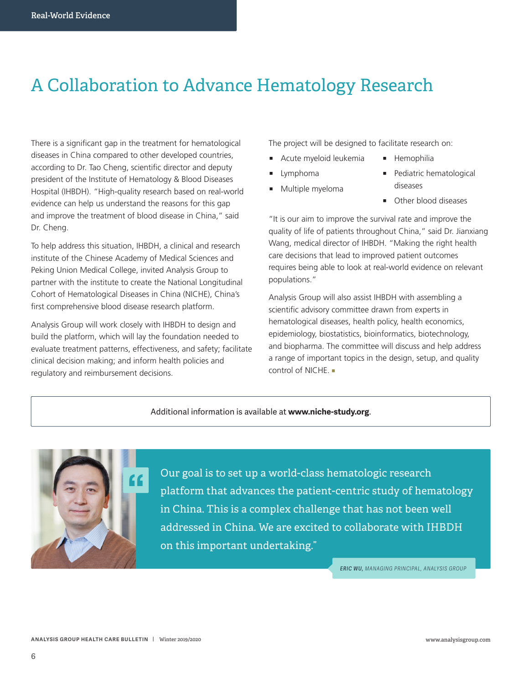## A Collaboration to Advance Hematology Research

There is a significant gap in the treatment for hematological diseases in China compared to other developed countries, according to Dr. Tao Cheng, scientific director and deputy president of the Institute of Hematology & Blood Diseases Hospital (IHBDH). "High-quality research based on real-world evidence can help us understand the reasons for this gap and improve the treatment of blood disease in China," said Dr. Cheng.

To help address this situation, IHBDH, a clinical and research institute of the Chinese Academy of Medical Sciences and Peking Union Medical College, invited Analysis Group to partner with the institute to create the National Longitudinal Cohort of Hematological Diseases in China (NICHE), China's first comprehensive blood disease research platform.

Analysis Group will work closely with IHBDH to design and build the platform, which will lay the foundation needed to evaluate treatment patterns, effectiveness, and safety; facilitate clinical decision making; and inform health policies and regulatory and reimbursement decisions.

The project will be designed to facilitate research on:

- **E** Hemophilia
- **u** Lymphoma
- Multiple myeloma

■ Acute myeloid leukemia

- Pediatric hematological diseases
- Other blood diseases

"It is our aim to improve the survival rate and improve the quality of life of patients throughout China," said Dr. Jianxiang Wang, medical director of IHBDH. "Making the right health care decisions that lead to improved patient outcomes requires being able to look at real-world evidence on relevant populations."

Analysis Group will also assist IHBDH with assembling a scientific advisory committee drawn from experts in hematological diseases, health policy, health economics, epidemiology, biostatistics, bioinformatics, biotechnology, and biopharma. The committee will discuss and help address a range of important topics in the design, setup, and quality control of NICHE.

#### Additional information is available at **www.niche-study.org**.



Our goal is to set up a world-class hematologic research platform that advances the patient-centric study of hematology in China. This is a complex challenge that has not been well addressed in China. We are excited to collaborate with IHBDH on this important undertaking."

*ERIC WU, MANAGING PRINCIPAL, ANALYSIS GROUP*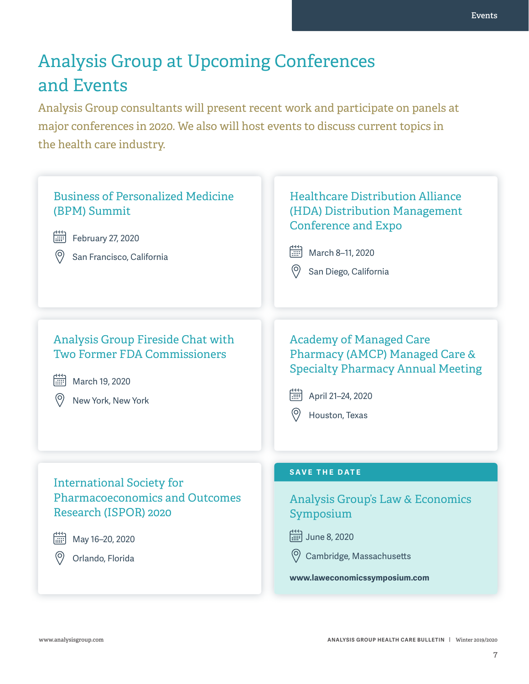## Analysis Group at Upcoming Conferences and Events

Analysis Group consultants will present recent work and participate on panels at major conferences in 2020. We also will host events to discuss current topics in the health care industry.



**ANALYSIS GROUP HEALTH CARE BULLETIN | Winter 2019/2020**